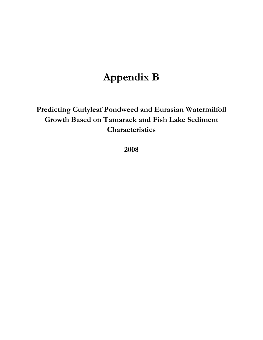## **Appendix B**

**Predicting Curlyleaf Pondweed and Eurasian Watermilfoil Growth Based on Tamarack and Fish Lake Sediment Characteristics** 

**2008**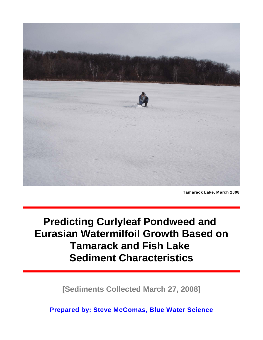

**Tamarack Lake, March 2008**

# **Predicting Curlyleaf Pondweed and Eurasian Watermilfoil Growth Based on Tamarack and Fish Lake Sediment Characteristics**

**[Sediments Collected March 27, 2008]**

**Prepared by: Steve McComas, Blue Water Science**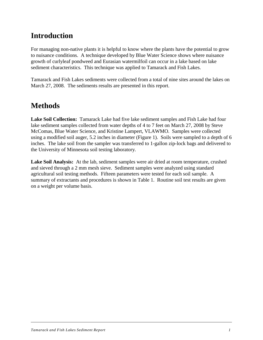## **Introduction**

For managing non-native plants it is helpful to know where the plants have the potential to grow to nuisance conditions. A technique developed by Blue Water Science shows where nuisance growth of curlyleaf pondweed and Eurasian watermilfoil can occur in a lake based on lake sediment characteristics. This technique was applied to Tamarack and Fish Lakes.

Tamarack and Fish Lakes sediments were collected from a total of nine sites around the lakes on March 27, 2008. The sediments results are presented in this report.

### **Methods**

**Lake Soil Collection:** Tamarack Lake had five lake sediment samples and Fish Lake had four lake sediment samples collected from water depths of 4 to 7 feet on March 27, 2008 by Steve McComas, Blue Water Science, and Kristine Lampert, VLAWMO. Samples were collected using a modified soil auger, 5.2 inches in diameter (Figure 1). Soils were sampled to a depth of 6 inches. The lake soil from the sampler was transferred to 1-gallon zip-lock bags and delivered to the University of Minnesota soil testing laboratory.

**Lake Soil Analysis:** At the lab, sediment samples were air dried at room temperature, crushed and sieved through a 2 mm mesh sieve. Sediment samples were analyzed using standard agricultural soil testing methods. Fifteen parameters were tested for each soil sample. A summary of extractants and procedures is shown in Table 1. Routine soil test results are given on a weight per volume basis.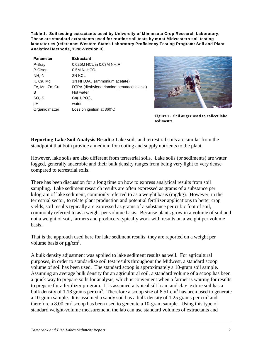**Table 1. Soil testing extractants used by University of Minnesota Crop Research Laboratory. These are standard extractants used for routine soil tests by most Midwestern soil testing laboratories (reference: Western States Laboratory Proficiency Testing Program: Soil and Plant Analytical Methods, 1996-Version 3).**

| <b>Parameter</b> | <b>Extractant</b>                                     |
|------------------|-------------------------------------------------------|
| P-Bray           | 0.025M HCL in 0.03M NH <sub>4</sub> F                 |
| P-Olsen          | $0.5M$ NaHCO <sub>2</sub>                             |
| $NH_{4}$ -N      | 2N KCL                                                |
| K, Ca, Mg        | 1N NH <sub>4</sub> OA <sub>c</sub> (ammonium acetate) |
| Fe, Mn, Zn, Cu   | DTPA (diethylenetriamine pentaacetic acid)            |
| B                | Hot water                                             |
| $SO4-S$          | Ca(H, PO <sub>a</sub> )                               |
| pH               | water                                                 |
| Organic matter   | Loss on ignition at $360^{\circ}$ C                   |



**Figure 1. Soil auger used to collect lake sediments.**

**Reporting Lake Soil Analysis Results:** Lake soils and terrestrial soils are similar from the standpoint that both provide a medium for rooting and supply nutrients to the plant.

However, lake soils are also different from terrestrial soils. Lake soils (or sediments) are water logged, generally anaerobic and their bulk density ranges from being very light to very dense compared to terrestrial soils.

There has been discussion for a long time on how to express analytical results from soil sampling. Lake sediment research results are often expressed as grams of a substance per kilogram of lake sediment, commonly referred to as a weight basis (mg/kg). However, in the terrestrial sector, to relate plant production and potential fertilizer applications to better crop yields, soil results typically are expressed as grams of a substance per cubic foot of soil, commonly referred to as a weight per volume basis. Because plants grow in a volume of soil and not a weight of soil, farmers and producers typically work with results on a weight per volume basis.

That is the approach used here for lake sediment results: they are reported on a weight per volume basis or  $\mu$ g/cm<sup>3</sup>.

A bulk density adjustment was applied to lake sediment results as well. For agricultural purposes, in order to standardize soil test results throughout the Midwest, a standard scoop volume of soil has been used. The standard scoop is approximately a 10-gram soil sample. Assuming an average bulk density for an agricultural soil, a standard volume of a scoop has been a quick way to prepare soils for analysis, which is convenient when a farmer is waiting for results to prepare for a fertilizer program. It is assumed a typical silt loam and clay texture soil has a bulk density of 1.18 grams per cm<sup>3</sup>. Therefore a scoop size of 8.51 cm<sup>3</sup> has been used to generate a 10-gram sample. It is assumed a sandy soil has a bulk density of 1.25 grams per  $cm<sup>3</sup>$  and therefore a  $8.00 \text{ cm}^3$  scoop has been used to generate a 10-gram sample. Using this type of standard weight-volume measurement, the lab can use standard volumes of extractants and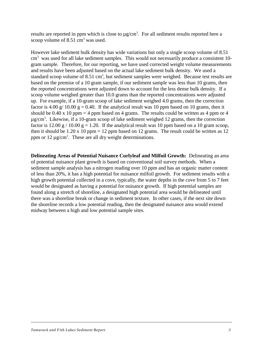results are reported in ppm which is close to  $\mu$ g/cm<sup>3</sup>. For all sediment results reported here a scoop volume of  $8.51 \text{ cm}^3$  was used.

However lake sediment bulk density has wide variations but only a single scoop volume of 8.51  $cm<sup>3</sup>$  was used for all lake sediment samples. This would not necessarily produce a consistent 10gram sample. Therefore, for our reporting, we have used corrected weight volume measurements and results have been adjusted based on the actual lake sediment bulk density. We used a standard scoop volume of 8.51 cm<sup>3</sup>, but sediment samples were weighed. Because test results are based on the premise of a 10 gram sample, if our sediment sample was less than 10 grams, then the reported concentrations were adjusted down to account for the less dense bulk density. If a scoop volume weighed greater than 10.0 grams than the reported concentrations were adjusted up. For example, if a 10-gram scoop of lake sediment weighed 4.0 grams, then the correction factor is 4.00 g/ 10.00 g = 0.40. If the analytical result was 10 ppm based on 10 grams, then it should be 0.40 x 10 ppm = 4 ppm based on 4 grams. The results could be written as 4 ppm or 4  $\mu$ g/cm<sup>3</sup>. Likewise, if a 10-gram scoop of lake sediment weighed 12 grams, then the correction factor is 12.00 g / 10.00 g = 1.20. If the analytical result was 10 ppm based on a 10 gram scoop, then it should be  $1.20 \times 10$  ppm = 12 ppm based on 12 grams. The result could be written as 12 ppm or  $12 \mu g/cm^3$ . These are all dry weight determinations.

**Delineating Areas of Potential Nuisance Curlyleaf and Milfoil Growth:** Delineating an area of potential nuisance plant growth is based on conventional soil survey methods. When a sediment sample analysis has a nitrogen reading over 10 ppm and has an organic matter content of less than 20%, it has a high potential for nuisance milfoil growth. For sediment results with a high growth potential collected in a cove, typically, the water depths in the cove from 5 to 7 feet would be designated as having a potential for nuisance growth. If high potential samples are found along a stretch of shoreline, a designated high potential area would be delineated until there was a shoreline break or change in sediment texture. In other cases, if the next site down the shoreline records a low potential reading, then the designated nuisance area would extend midway between a high and low potential sample sites.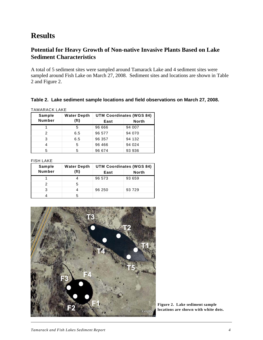### **Results**

#### **Potential for Heavy Growth of Non-native Invasive Plants Based on Lake Sediment Characteristics**

A total of 5 sediment sites were sampled around Tamarack Lake and 4 sediment sites were sampled around Fish Lake on March 27, 2008. Sediment sites and locations are shown in Table 2 and Figure 2.

#### **Table 2. Lake sediment sample locations and field observations on March 27, 2008.**

TAMARACK LAKE

| Sample        | <b>Water Depth</b> | <b>UTM Coordinates (WGS 84)</b> |              |  |  |
|---------------|--------------------|---------------------------------|--------------|--|--|
| <b>Number</b> | (f <sub>t</sub> )  | East                            | <b>North</b> |  |  |
|               | 5                  | 96 666                          | 94 007       |  |  |
| 2             | 6.5                | 96 577                          | 94 070       |  |  |
| 3             | 6.5                | 96 357                          | 94 132       |  |  |
|               | 5                  | 96 466                          | 94 0 24      |  |  |
| 5             | 5                  | 96 674                          | 93 936       |  |  |

FISH LAKE

| Sample | <b>Water Depth</b> | <b>UTM Coordinates (WGS 84)</b> |              |  |  |
|--------|--------------------|---------------------------------|--------------|--|--|
| Number | (ft)               | East                            | <b>North</b> |  |  |
|        |                    | 96 573                          | 93 659       |  |  |
| 2      | 5                  |                                 |              |  |  |
| з      |                    | 96 250                          | 93 729       |  |  |
|        | ۰.                 |                                 |              |  |  |



**Figure 2. Lake sediment sample locations are shown with white dots.**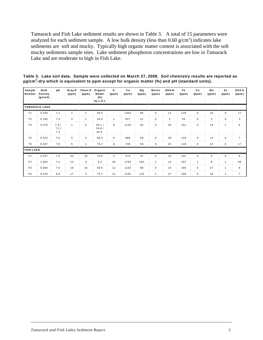Tamarack and Fish Lake sediment results are shown in Table 3. A total of 15 parameters were analyzed for each sediment sample. A low bulk density (less than  $0.60 \text{ g/cm}^3$ ) indicates lake sediments are soft and mucky. Typically high organic matter content is associated with the soft mucky sediments sample sites. Lake sediment phosphorus concentrations are low in Tamarack Lake and are moderate to high in Fish Lake.

| Sample<br>Number | Bulk<br>Density<br>(g/cm3) | pН                  | Bray-P<br>(ppm) | Olsen-P<br>(ppm) | Organic<br>Matter<br>$(\% )$<br>by L.O.I. | ĸ<br>(ppm)   | Ca<br>(ppm) | Мg<br>(ppm) | <b>Boron</b><br>(ppm) | $NH4-N$<br>(ppm) | Fe<br>(ppm) | Cu<br>(ppm)    | Mn<br>(ppm) | Zn<br>(ppm) | $SO4-S$<br>(ppm) |
|------------------|----------------------------|---------------------|-----------------|------------------|-------------------------------------------|--------------|-------------|-------------|-----------------------|------------------|-------------|----------------|-------------|-------------|------------------|
|                  | <b>TAMARACK LAKE</b>       |                     |                 |                  |                                           |              |             |             |                       |                  |             |                |             |             |                  |
| T <sub>1</sub>   | 0.320                      | 7.1                 | $\mathbf{1}$    | $\overline{2}$   | 65.5                                      |              | 1302        | 90          | $\mathbf 0$           | 11               | 126         | $\mathbf 0$    | 10          | $\mathbf 0$ | 17               |
| T <sub>2</sub>   | 0.190                      | 7.3                 | $\mathbf 0$     |                  | 56.9                                      | $\mathbf{1}$ | 627         | 21          | $\mathbf 0$           | $\overline{2}$   | 55          | $\mathbf 0$    | 3           | 0           | 3                |
| T <sub>3</sub>   | 0.379                      | 7.5/<br>7.2/<br>7.4 | $\mathbf{1}$    | 5                | 56.1/<br>54.8/<br>55.5                    | 9            | 1133        | 55          | $\mathbf 0$           | 25               | 151         | $\mathbf 0$    | 14          | 1           | 6                |
| T <sub>4</sub>   | 0.322                      | 7.5                 | 5               | $\overline{2}$   | 66.3                                      | 6            | 866         | 59          | $\mathbf 0$           | 28               | 110         | $\mathbf 0$    | 12          | $\mathbf 0$ | $\overline{7}$   |
| T <sub>5</sub>   | 0.337                      | 7.0                 | 5               |                  | 74.2                                      | 6            | 749         | 50          | $\pmb{0}$             | 22               | 118         | $\mathbf 0$    | 12          | 0           | 17               |
| <b>FISH LAKE</b> |                            |                     |                 |                  |                                           |              |             |             |                       |                  |             |                |             |             |                  |
| F <sub>1</sub>   | 0.207                      | 7.0                 | 32              | 15               | 70.4                                      | 3            | 473         | 37          | $\mathbf 0$           | 14               | 101         | $\mathbf 0$    | 9           | $\mathbf 0$ | 5                |
| F <sub>2</sub>   | 1.002                      | 7.1                 | 13              | $\overline{4}$   | 5.2                                       | 45           | 1792        | 163         | $\mathbf{1}$          | 13               | 157         | $\overline{1}$ | 8           | 1           | 39               |
| F <sub>3</sub>   | 0.384                      | 7.0                 | 10              | 15               | 59.5                                      | 12           | 1152        | 86          | $\mathbf 0$           | 23               | 194         | $\mathbf 0$    | 27          | 1           | 8                |
| F <sub>4</sub>   | 0.416                      | 6.8                 | 17              | 3                | 75.7                                      | 11           | 1181        | 122         | $\mathbf{1}$          | 27               | 158         | $\mathbf 0$    | 34          | 1           | $\overline{7}$   |

**Table 3. Lake soil data. Sample were collected on March 27, 2008. Soil chemistry results are reported as µg/cm -dry which is equivalent to ppm except for organic matter (%) and pH (standard units). <sup>3</sup>**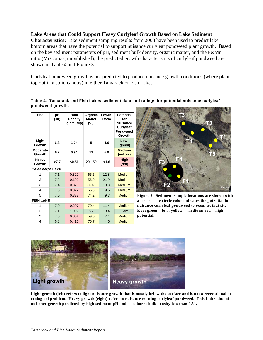#### **Lake Areas that Could Support Heavy Curlyleaf Growth Based on Lake Sediment**

**Characteristics:** Lake sediment sampling results from 2008 have been used to predict lake bottom areas that have the potential to support nuisance curlyleaf pondweed plant growth. Based on the key sediment parameters of pH, sediment bulk density, organic matter, and the Fe:Mn ratio (McComas, unpublished), the predicted growth characteristics of curlyleaf pondweed are shown in Table 4 and Figure 3.

Curlyleaf pondweed growth is not predicted to produce nuisance growth conditions (where plants top out in a solid canopy) in either Tamarack or Fish Lakes.

**Table 4. Tamarack and Fish Lakes sediment data and ratings for potential nuisance curlyleaf pondweed growth.**

| Site                      | рH<br>(su)       | Bulk<br><b>Density</b><br>$(g/cm3$ dry) | Organic<br><b>Matter</b><br>$(\%)$ | Fe:Mn<br>Ratio | <b>Potential</b><br>for<br><b>Nuisance</b><br><b>Curlyleaf</b><br>Pondweed<br>Growth |  |  |
|---------------------------|------------------|-----------------------------------------|------------------------------------|----------------|--------------------------------------------------------------------------------------|--|--|
| Light<br>Growth           | 6.8              | 1.04                                    | 5                                  | 4.6            | Low<br>(green)                                                                       |  |  |
| <b>Moderate</b><br>Growth | 6.2              | 0.94                                    | 11                                 | 5.9            | <b>Medium</b><br>(yellow)                                                            |  |  |
| Heavy<br>Growth           | >7.7             | < 0.51                                  | $20 - 50$                          | <1.6           | <b>High</b><br>(red)                                                                 |  |  |
| <b>TAMARACK LAKE</b>      |                  |                                         |                                    |                |                                                                                      |  |  |
| 1                         | 7.1              | 0.320                                   | 65.5                               | 12.8           | <b>Medium</b>                                                                        |  |  |
| $\overline{2}$            | 7.3              | 0.190                                   | 56.9                               | 21.9           | Medium                                                                               |  |  |
| 3                         | 7.4              | 0.379                                   | 55.5                               | 10.8           | <b>Medium</b>                                                                        |  |  |
| 4                         | 7.5              | 0.322                                   | 66.3                               | 9.5            | <b>Medium</b>                                                                        |  |  |
| 5                         | 7.0              | 0.337                                   | 74.2                               | 9.7            | <b>Medium</b>                                                                        |  |  |
|                           | <b>FISH LAKE</b> |                                         |                                    |                |                                                                                      |  |  |
| 1                         | 7.0              | 0.207                                   | 70.4                               | 11.4           | <b>Medium</b>                                                                        |  |  |
| 2                         | 7.1              | 1.002                                   | 5.2                                | 19.4           | Low                                                                                  |  |  |
| 3                         | 7.0              | 0.384                                   | 59.5                               | 7.1            | <b>Medium</b>                                                                        |  |  |
| 4                         | 6.8              | 0.416                                   | 75.7                               | 4.6            | <b>Medium</b>                                                                        |  |  |



**Figure 3. Sediment sample locations are shown with a circle. The circle color indicates the potential for nuisance curlyleaf pondweed to occur at that site. Key: green = low; yellow = medium; red = high potential.**



**Light growth (left) refers to light nuisance growth that is mostly below the surface and is not a recreational or ecological problem. Heavy growth (right) refers to nuisance matting curlyleaf pondweed. This is the kind of nuisance growth predicted by high sediment pH and a sediment bulk density less than 0.51.**